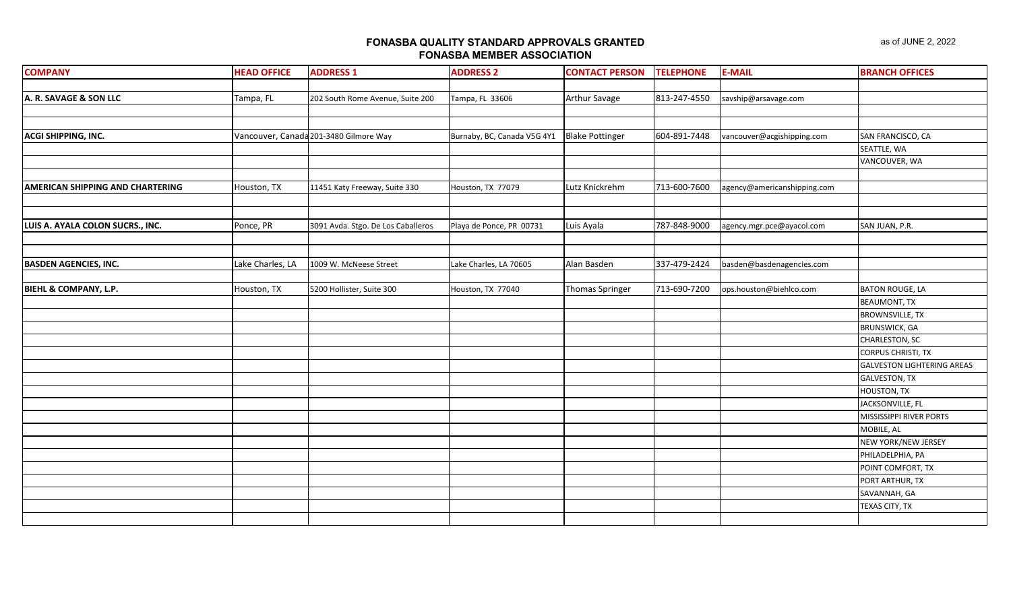**FONASBA QUALITY STANDARD APPROVALS GRANTED**

| <b>FONASBA MEMBER ASSOCIATION</b> |                    |                                        |                             |                        |                  |                             |                        |  |  |
|-----------------------------------|--------------------|----------------------------------------|-----------------------------|------------------------|------------------|-----------------------------|------------------------|--|--|
| <b>COMPANY</b>                    | <b>HEAD OFFICE</b> | <b>ADDRESS 1</b>                       | <b>ADDRESS 2</b>            | <b>CONTACT PERSON</b>  | <b>TELEPHONE</b> | <b>E-MAIL</b>               | <b>BRANCH OFFICES</b>  |  |  |
|                                   |                    |                                        |                             |                        |                  |                             |                        |  |  |
| A. R. SAVAGE & SON LLC            | Tampa, FL          | 202 South Rome Avenue, Suite 200       | Tampa, FL 33606             | <b>Arthur Savage</b>   | 813-247-4550     | savship@arsavage.com        |                        |  |  |
|                                   |                    |                                        |                             |                        |                  |                             |                        |  |  |
| ACGI SHIPPING, INC.               |                    | Vancouver, Canada 201-3480 Gilmore Way | Burnaby, BC, Canada V5G 4Y1 | <b>Blake Pottinger</b> | 604-891-7448     | vancouver@acgishipping.com  | SAN FRANCISCO, CA      |  |  |
|                                   |                    |                                        |                             |                        |                  |                             | SEATTLE, WA            |  |  |
|                                   |                    |                                        |                             |                        |                  |                             | VANCOUVER, WA          |  |  |
|                                   |                    |                                        |                             |                        |                  |                             |                        |  |  |
| AMERICAN SHIPPING AND CHARTERING  | Houston, TX        | 11451 Katy Freeway, Suite 330          | Houston, TX 77079           | Lutz Knickrehm         | 713-600-7600     | agency@americanshipping.com |                        |  |  |
|                                   |                    |                                        |                             |                        |                  |                             |                        |  |  |
|                                   |                    |                                        |                             |                        |                  |                             |                        |  |  |
| LUIS A. AYALA COLON SUCRS., INC.  | Ponce, PR          | 3091 Avda. Stgo. De Los Caballeros     | Playa de Ponce, PR 00731    | Luis Ayala             | 787-848-9000     | agency.mgr.pce@ayacol.com   | SAN JUAN, P.R.         |  |  |
|                                   |                    |                                        |                             |                        |                  |                             |                        |  |  |
|                                   |                    |                                        |                             |                        |                  |                             |                        |  |  |
| <b>BASDEN AGENCIES, INC.</b>      | Lake Charles, LA   | 1009 W. McNeese Street                 | Lake Charles, LA 70605      | Alan Basden            | 337-479-2424     | basden@basdenagencies.com   |                        |  |  |
|                                   |                    |                                        |                             |                        |                  |                             |                        |  |  |
| BIEHL & COMPANY, L.P.             | Houston, TX        | 5200 Hollister, Suite 300              | Houston, TX 77040           | <b>Thomas Springer</b> | 713-690-7200     | ops.houston@biehlco.com     | <b>BATON ROUGE, LA</b> |  |  |
|                                   |                    |                                        |                             |                        |                  |                             | <b>BEAUMONT, TX</b>    |  |  |
|                                   |                    |                                        |                             |                        |                  |                             | <b>BROWNSVILLE, TX</b> |  |  |
|                                   |                    |                                        |                             |                        |                  |                             | <b>RRUNSWICK GA</b>    |  |  |

|  |  |  | <b>BROWNSVILLE, TX</b>            |
|--|--|--|-----------------------------------|
|  |  |  | <b>BRUNSWICK, GA</b>              |
|  |  |  | <b>CHARLESTON, SC</b>             |
|  |  |  | <b>CORPUS CHRISTI, TX</b>         |
|  |  |  | <b>GALVESTON LIGHTERING AREAS</b> |
|  |  |  | <b>GALVESTON, TX</b>              |
|  |  |  | HOUSTON, TX                       |
|  |  |  | JACKSONVILLE, FL                  |
|  |  |  | MISSISSIPPI RIVER PORTS           |
|  |  |  | MOBILE, AL                        |
|  |  |  | NEW YORK/NEW JERSEY               |
|  |  |  | PHILADELPHIA, PA                  |
|  |  |  | POINT COMFORT, TX                 |
|  |  |  | PORT ARTHUR, TX                   |
|  |  |  | SAVANNAH, GA                      |
|  |  |  | TEXAS CITY, TX                    |
|  |  |  |                                   |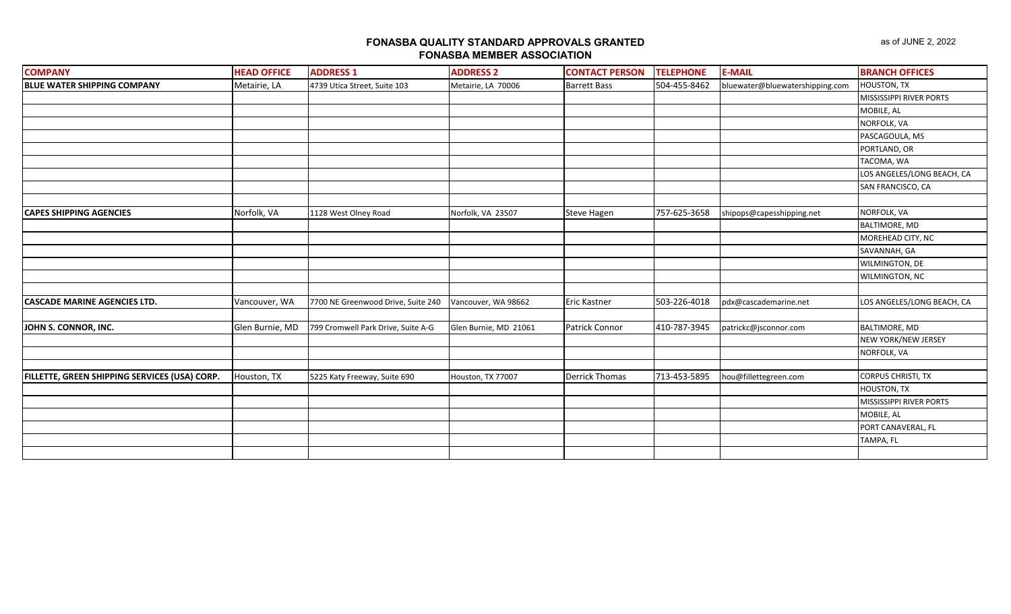| <b>COMPANY</b>                                | <b>HEAD OFFICE</b> | <b>ADDRESS 1</b>                   | <b>ADDRESS 2</b>      | <b>CONTACT PERSON</b> | <b>TELEPHONE</b> | <b>E-MAIL</b>                   | <b>BRANCH OFFICES</b>      |
|-----------------------------------------------|--------------------|------------------------------------|-----------------------|-----------------------|------------------|---------------------------------|----------------------------|
| <b>BLUE WATER SHIPPING COMPANY</b>            | Metairie, LA       | 4739 Utica Street, Suite 103       | Metairie, LA 70006    | <b>Barrett Bass</b>   | 504-455-8462     | bluewater@bluewatershipping.com | HOUSTON, TX                |
|                                               |                    |                                    |                       |                       |                  |                                 | MISSISSIPPI RIVER PORTS    |
|                                               |                    |                                    |                       |                       |                  |                                 | MOBILE, AL                 |
|                                               |                    |                                    |                       |                       |                  |                                 | NORFOLK, VA                |
|                                               |                    |                                    |                       |                       |                  |                                 | PASCAGOULA, MS             |
|                                               |                    |                                    |                       |                       |                  |                                 | PORTLAND, OR               |
|                                               |                    |                                    |                       |                       |                  |                                 | TACOMA, WA                 |
|                                               |                    |                                    |                       |                       |                  |                                 | LOS ANGELES/LONG BEACH, CA |
|                                               |                    |                                    |                       |                       |                  |                                 | SAN FRANCISCO, CA          |
|                                               |                    |                                    |                       |                       |                  |                                 |                            |
| <b>CAPES SHIPPING AGENCIES</b>                | Norfolk, VA        | 1128 West Olney Road               | Norfolk, VA 23507     | <b>Steve Hagen</b>    | 757-625-3658     | shipops@capesshipping.net       | NORFOLK, VA                |
|                                               |                    |                                    |                       |                       |                  |                                 | <b>BALTIMORE, MD</b>       |
|                                               |                    |                                    |                       |                       |                  |                                 | MOREHEAD CITY, NC          |
|                                               |                    |                                    |                       |                       |                  |                                 | SAVANNAH, GA               |
|                                               |                    |                                    |                       |                       |                  |                                 | WILMINGTON, DE             |
|                                               |                    |                                    |                       |                       |                  |                                 | WILMINGTON, NC             |
|                                               |                    |                                    |                       |                       |                  |                                 |                            |
| <b>CASCADE MARINE AGENCIES LTD.</b>           | Vancouver, WA      | 7700 NE Greenwood Drive, Suite 240 | Vancouver, WA 98662   | <b>Eric Kastner</b>   | 503-226-4018     | pdx@cascademarine.net           | LOS ANGELES/LONG BEACH, CA |
|                                               |                    |                                    |                       |                       |                  |                                 |                            |
| JOHN S. CONNOR, INC.                          | Glen Burnie, MD    | 799 Cromwell Park Drive, Suite A-G | Glen Burnie, MD 21061 | Patrick Connor        | 410-787-3945     | patrickc@jsconnor.com           | <b>BALTIMORE, MD</b>       |
|                                               |                    |                                    |                       |                       |                  |                                 | NEW YORK/NEW JERSEY        |
|                                               |                    |                                    |                       |                       |                  |                                 | NORFOLK, VA                |
|                                               |                    |                                    |                       |                       |                  |                                 |                            |
| FILLETTE, GREEN SHIPPING SERVICES (USA) CORP. | Houston, TX        | 5225 Katy Freeway, Suite 690       | Houston, TX 77007     | <b>Derrick Thomas</b> | 713-453-5895     | hou@fillettegreen.com           | <b>CORPUS CHRISTI, TX</b>  |
|                                               |                    |                                    |                       |                       |                  |                                 | HOUSTON, TX                |
|                                               |                    |                                    |                       |                       |                  |                                 | MISSISSIPPI RIVER PORTS    |
|                                               |                    |                                    |                       |                       |                  |                                 | MOBILE, AL                 |
|                                               |                    |                                    |                       |                       |                  |                                 | PORT CANAVERAL, FL         |
|                                               |                    |                                    |                       |                       |                  |                                 | TAMPA, FL                  |
|                                               |                    |                                    |                       |                       |                  |                                 |                            |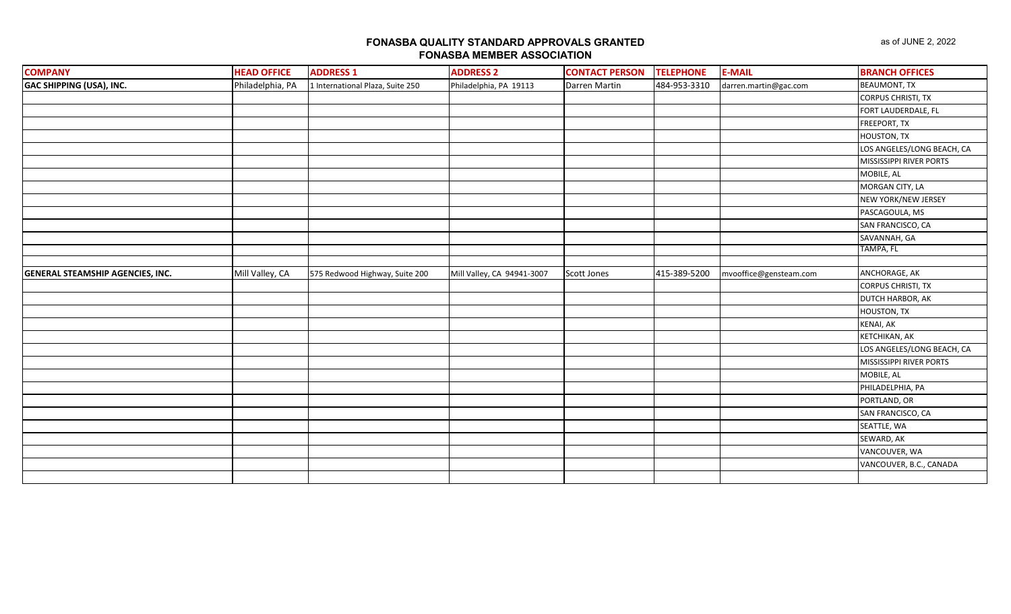| <b>COMPANY</b>                          | <b>HEAD OFFICE</b> | <b>ADDRESS 1</b>                 | <b>ADDRESS 2</b>           | <b>CONTACT PERSON</b> | <b>TELEPHONE</b> | <b>E-MAIL</b>          | <b>BRANCH OFFICES</b>      |
|-----------------------------------------|--------------------|----------------------------------|----------------------------|-----------------------|------------------|------------------------|----------------------------|
| <b>GAC SHIPPING (USA), INC.</b>         | Philadelphia, PA   | 1 International Plaza, Suite 250 | Philadelphia, PA 19113     | Darren Martin         | 484-953-3310     | darren.martin@gac.com  | <b>BEAUMONT, TX</b>        |
|                                         |                    |                                  |                            |                       |                  |                        | <b>CORPUS CHRISTI, TX</b>  |
|                                         |                    |                                  |                            |                       |                  |                        | FORT LAUDERDALE, FL        |
|                                         |                    |                                  |                            |                       |                  |                        | FREEPORT, TX               |
|                                         |                    |                                  |                            |                       |                  |                        | HOUSTON, TX                |
|                                         |                    |                                  |                            |                       |                  |                        | LOS ANGELES/LONG BEACH, CA |
|                                         |                    |                                  |                            |                       |                  |                        | MISSISSIPPI RIVER PORTS    |
|                                         |                    |                                  |                            |                       |                  |                        | MOBILE, AL                 |
|                                         |                    |                                  |                            |                       |                  |                        | MORGAN CITY, LA            |
|                                         |                    |                                  |                            |                       |                  |                        | NEW YORK/NEW JERSEY        |
|                                         |                    |                                  |                            |                       |                  |                        | PASCAGOULA, MS             |
|                                         |                    |                                  |                            |                       |                  |                        | SAN FRANCISCO, CA          |
|                                         |                    |                                  |                            |                       |                  |                        | SAVANNAH, GA               |
|                                         |                    |                                  |                            |                       |                  |                        | TAMPA, FL                  |
|                                         |                    |                                  |                            |                       |                  |                        |                            |
| <b>GENERAL STEAMSHIP AGENCIES, INC.</b> | Mill Valley, CA    | 575 Redwood Highway, Suite 200   | Mill Valley, CA 94941-3007 | Scott Jones           | 415-389-5200     | mvooffice@gensteam.com | ANCHORAGE, AK              |
|                                         |                    |                                  |                            |                       |                  |                        | <b>CORPUS CHRISTI, TX</b>  |
|                                         |                    |                                  |                            |                       |                  |                        | DUTCH HARBOR, AK           |
|                                         |                    |                                  |                            |                       |                  |                        | HOUSTON, TX                |
|                                         |                    |                                  |                            |                       |                  |                        | <b>KENAI, AK</b>           |
|                                         |                    |                                  |                            |                       |                  |                        | KETCHIKAN, AK              |
|                                         |                    |                                  |                            |                       |                  |                        | LOS ANGELES/LONG BEACH, CA |
|                                         |                    |                                  |                            |                       |                  |                        | MISSISSIPPI RIVER PORTS    |
|                                         |                    |                                  |                            |                       |                  |                        | MOBILE, AL                 |
|                                         |                    |                                  |                            |                       |                  |                        | PHILADELPHIA, PA           |
|                                         |                    |                                  |                            |                       |                  |                        | PORTLAND, OR               |
|                                         |                    |                                  |                            |                       |                  |                        | SAN FRANCISCO, CA          |
|                                         |                    |                                  |                            |                       |                  |                        | SEATTLE, WA                |
|                                         |                    |                                  |                            |                       |                  |                        | SEWARD, AK                 |
|                                         |                    |                                  |                            |                       |                  |                        | VANCOUVER, WA              |
|                                         |                    |                                  |                            |                       |                  |                        | VANCOUVER, B.C., CANADA    |
|                                         |                    |                                  |                            |                       |                  |                        |                            |
|                                         |                    |                                  |                            |                       |                  |                        |                            |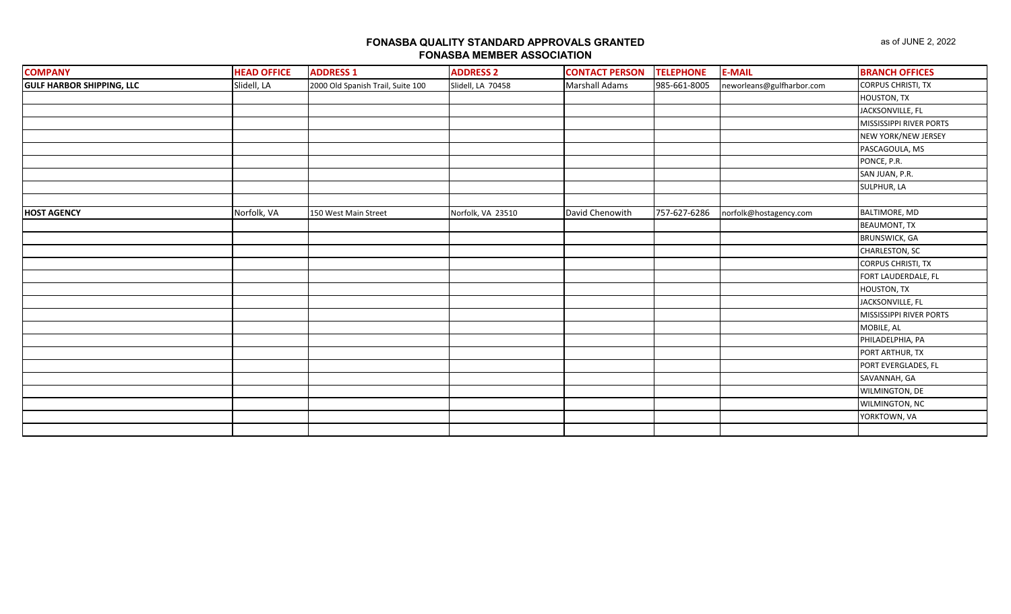| <b>COMPANY</b>                   | <b>HEAD OFFICE</b> | <b>ADDRESS 1</b>                  | <b>ADDRESS 2</b>  | <b>CONTACT PERSON</b> | <b>TELEPHONE</b> | <b>E-MAIL</b>             | <b>BRANCH OFFICES</b>     |
|----------------------------------|--------------------|-----------------------------------|-------------------|-----------------------|------------------|---------------------------|---------------------------|
| <b>GULF HARBOR SHIPPING, LLC</b> | Slidell, LA        | 2000 Old Spanish Trail, Suite 100 | Slidell, LA 70458 | <b>Marshall Adams</b> | 985-661-8005     | neworleans@gulfharbor.com | <b>CORPUS CHRISTI, TX</b> |
|                                  |                    |                                   |                   |                       |                  |                           | <b>HOUSTON, TX</b>        |
|                                  |                    |                                   |                   |                       |                  |                           | JACKSONVILLE, FL          |
|                                  |                    |                                   |                   |                       |                  |                           | MISSISSIPPI RIVER PORTS   |
|                                  |                    |                                   |                   |                       |                  |                           | NEW YORK/NEW JERSEY       |
|                                  |                    |                                   |                   |                       |                  |                           | PASCAGOULA, MS            |
|                                  |                    |                                   |                   |                       |                  |                           | PONCE, P.R.               |
|                                  |                    |                                   |                   |                       |                  |                           | SAN JUAN, P.R.            |
|                                  |                    |                                   |                   |                       |                  |                           | SULPHUR, LA               |
|                                  |                    |                                   |                   |                       |                  |                           |                           |
| <b>HOST AGENCY</b>               | Norfolk, VA        | 150 West Main Street              | Norfolk, VA 23510 | David Chenowith       | 757-627-6286     | norfolk@hostagency.com    | BALTIMORE, MD             |
|                                  |                    |                                   |                   |                       |                  |                           | <b>BEAUMONT, TX</b>       |
|                                  |                    |                                   |                   |                       |                  |                           | <b>BRUNSWICK, GA</b>      |
|                                  |                    |                                   |                   |                       |                  |                           | CHARLESTON, SC            |
|                                  |                    |                                   |                   |                       |                  |                           | <b>CORPUS CHRISTI, TX</b> |
|                                  |                    |                                   |                   |                       |                  |                           | FORT LAUDERDALE, FL       |
|                                  |                    |                                   |                   |                       |                  |                           | HOUSTON, TX               |
|                                  |                    |                                   |                   |                       |                  |                           | JACKSONVILLE, FL          |
|                                  |                    |                                   |                   |                       |                  |                           | MISSISSIPPI RIVER PORTS   |
|                                  |                    |                                   |                   |                       |                  |                           | MOBILE, AL                |
|                                  |                    |                                   |                   |                       |                  |                           | PHILADELPHIA, PA          |
|                                  |                    |                                   |                   |                       |                  |                           | PORT ARTHUR, TX           |
|                                  |                    |                                   |                   |                       |                  |                           | PORT EVERGLADES, FL       |
|                                  |                    |                                   |                   |                       |                  |                           | SAVANNAH, GA              |
|                                  |                    |                                   |                   |                       |                  |                           | WILMINGTON, DE            |
|                                  |                    |                                   |                   |                       |                  |                           | WILMINGTON, NC            |
|                                  |                    |                                   |                   |                       |                  |                           | YORKTOWN, VA              |
|                                  |                    |                                   |                   |                       |                  |                           |                           |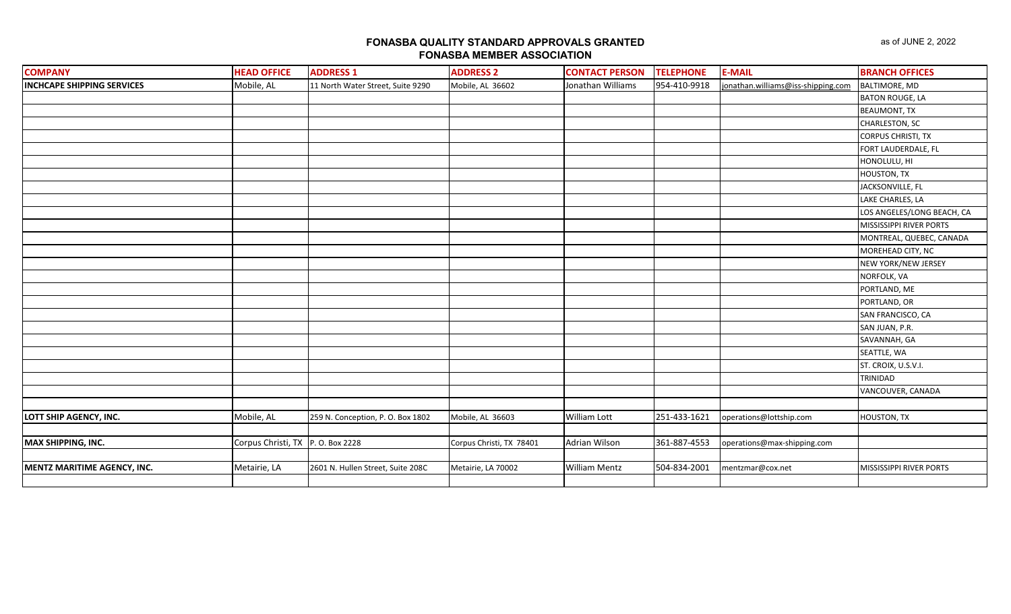| <b>COMPANY</b>                    | <b>HEAD OFFICE</b>                | <b>ADDRESS 1</b>                  | <b>ADDRESS 2</b>         | <b>CONTACT PERSON</b> | <b>TELEPHONE</b> | <b>E-MAIL</b>                      | <b>BRANCH OFFICES</b>          |
|-----------------------------------|-----------------------------------|-----------------------------------|--------------------------|-----------------------|------------------|------------------------------------|--------------------------------|
| <b>INCHCAPE SHIPPING SERVICES</b> | Mobile, AL                        | 11 North Water Street, Suite 9290 | Mobile, AL 36602         | Jonathan Williams     | 954-410-9918     | jonathan.williams@iss-shipping.com | <b>BALTIMORE, MD</b>           |
|                                   |                                   |                                   |                          |                       |                  |                                    | <b>BATON ROUGE, LA</b>         |
|                                   |                                   |                                   |                          |                       |                  |                                    | <b>BEAUMONT, TX</b>            |
|                                   |                                   |                                   |                          |                       |                  |                                    | CHARLESTON, SC                 |
|                                   |                                   |                                   |                          |                       |                  |                                    | <b>CORPUS CHRISTI, TX</b>      |
|                                   |                                   |                                   |                          |                       |                  |                                    | FORT LAUDERDALE, FL            |
|                                   |                                   |                                   |                          |                       |                  |                                    | HONOLULU, HI                   |
|                                   |                                   |                                   |                          |                       |                  |                                    | <b>HOUSTON, TX</b>             |
|                                   |                                   |                                   |                          |                       |                  |                                    | JACKSONVILLE, FL               |
|                                   |                                   |                                   |                          |                       |                  |                                    | LAKE CHARLES, LA               |
|                                   |                                   |                                   |                          |                       |                  |                                    | LOS ANGELES/LONG BEACH, CA     |
|                                   |                                   |                                   |                          |                       |                  |                                    | MISSISSIPPI RIVER PORTS        |
|                                   |                                   |                                   |                          |                       |                  |                                    | MONTREAL, QUEBEC, CANADA       |
|                                   |                                   |                                   |                          |                       |                  |                                    | MOREHEAD CITY, NC              |
|                                   |                                   |                                   |                          |                       |                  |                                    | NEW YORK/NEW JERSEY            |
|                                   |                                   |                                   |                          |                       |                  |                                    | NORFOLK, VA                    |
|                                   |                                   |                                   |                          |                       |                  |                                    | PORTLAND, ME                   |
|                                   |                                   |                                   |                          |                       |                  |                                    | PORTLAND, OR                   |
|                                   |                                   |                                   |                          |                       |                  |                                    | SAN FRANCISCO, CA              |
|                                   |                                   |                                   |                          |                       |                  |                                    | SAN JUAN, P.R.                 |
|                                   |                                   |                                   |                          |                       |                  |                                    | SAVANNAH, GA                   |
|                                   |                                   |                                   |                          |                       |                  |                                    | SEATTLE, WA                    |
|                                   |                                   |                                   |                          |                       |                  |                                    | ST. CROIX, U.S.V.I.            |
|                                   |                                   |                                   |                          |                       |                  |                                    | TRINIDAD                       |
|                                   |                                   |                                   |                          |                       |                  |                                    | VANCOUVER, CANADA              |
|                                   |                                   |                                   |                          |                       |                  |                                    |                                |
| LOTT SHIP AGENCY, INC.            | Mobile, AL                        | 259 N. Conception, P. O. Box 1802 | Mobile, AL 36603         | William Lott          | 251-433-1621     | operations@lottship.com            | <b>HOUSTON, TX</b>             |
|                                   |                                   |                                   |                          |                       |                  |                                    |                                |
| MAX SHIPPING, INC.                | Corpus Christi, TX P. O. Box 2228 |                                   | Corpus Christi, TX 78401 | Adrian Wilson         | 361-887-4553     | operations@max-shipping.com        |                                |
|                                   |                                   |                                   |                          |                       |                  |                                    |                                |
| MENTZ MARITIME AGENCY, INC.       | Metairie, LA                      | 2601 N. Hullen Street, Suite 208C | Metairie, LA 70002       | <b>William Mentz</b>  | 504-834-2001     | mentzmar@cox.net                   | <b>MISSISSIPPI RIVER PORTS</b> |
|                                   |                                   |                                   |                          |                       |                  |                                    |                                |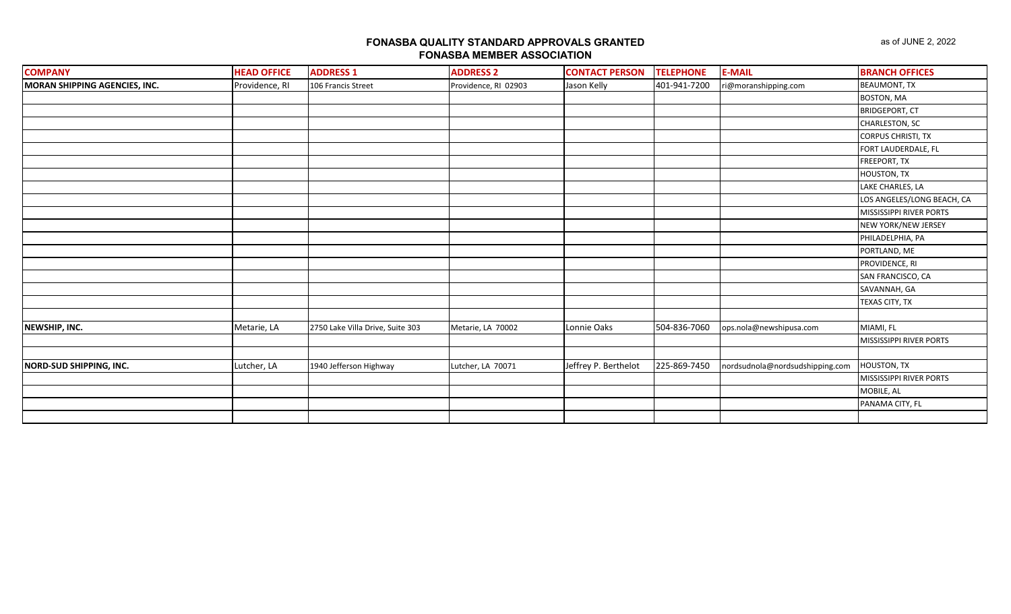| <b>COMPANY</b>                | <b>HEAD OFFICE</b> | <b>ADDRESS 1</b>                 | <b>ADDRESS 2</b>     | <b>CONTACT PERSON</b> | <b>TELEPHONE</b> | <b>E-MAIL</b>                   | <b>BRANCH OFFICES</b>      |
|-------------------------------|--------------------|----------------------------------|----------------------|-----------------------|------------------|---------------------------------|----------------------------|
| MORAN SHIPPING AGENCIES, INC. | Providence, RI     | 106 Francis Street               | Providence, RI 02903 | Jason Kelly           | 401-941-7200     | ri@moranshipping.com            | <b>BEAUMONT, TX</b>        |
|                               |                    |                                  |                      |                       |                  |                                 | BOSTON, MA                 |
|                               |                    |                                  |                      |                       |                  |                                 | <b>BRIDGEPORT, CT</b>      |
|                               |                    |                                  |                      |                       |                  |                                 | CHARLESTON, SC             |
|                               |                    |                                  |                      |                       |                  |                                 | <b>CORPUS CHRISTI, TX</b>  |
|                               |                    |                                  |                      |                       |                  |                                 | FORT LAUDERDALE, FL        |
|                               |                    |                                  |                      |                       |                  |                                 | FREEPORT, TX               |
|                               |                    |                                  |                      |                       |                  |                                 | HOUSTON, TX                |
|                               |                    |                                  |                      |                       |                  |                                 | LAKE CHARLES, LA           |
|                               |                    |                                  |                      |                       |                  |                                 | LOS ANGELES/LONG BEACH, CA |
|                               |                    |                                  |                      |                       |                  |                                 | MISSISSIPPI RIVER PORTS    |
|                               |                    |                                  |                      |                       |                  |                                 | NEW YORK/NEW JERSEY        |
|                               |                    |                                  |                      |                       |                  |                                 | PHILADELPHIA, PA           |
|                               |                    |                                  |                      |                       |                  |                                 | PORTLAND, ME               |
|                               |                    |                                  |                      |                       |                  |                                 | PROVIDENCE, RI             |
|                               |                    |                                  |                      |                       |                  |                                 | SAN FRANCISCO, CA          |
|                               |                    |                                  |                      |                       |                  |                                 | SAVANNAH, GA               |
|                               |                    |                                  |                      |                       |                  |                                 | TEXAS CITY, TX             |
|                               |                    |                                  |                      |                       |                  |                                 |                            |
| NEWSHIP, INC.                 | Metarie, LA        | 2750 Lake Villa Drive, Suite 303 | Metarie, LA 70002    | Lonnie Oaks           | 504-836-7060     | ops.nola@newshipusa.com         | MIAMI, FL                  |
|                               |                    |                                  |                      |                       |                  |                                 | MISSISSIPPI RIVER PORTS    |
|                               |                    |                                  |                      |                       |                  |                                 |                            |
| NORD-SUD SHIPPING, INC.       | Lutcher, LA        | 1940 Jefferson Highway           | Lutcher, LA 70071    | Jeffrey P. Berthelot  | 225-869-7450     | nordsudnola@nordsudshipping.com | <b>HOUSTON, TX</b>         |
|                               |                    |                                  |                      |                       |                  |                                 | MISSISSIPPI RIVER PORTS    |
|                               |                    |                                  |                      |                       |                  |                                 | MOBILE, AL                 |
|                               |                    |                                  |                      |                       |                  |                                 | PANAMA CITY, FL            |
|                               |                    |                                  |                      |                       |                  |                                 |                            |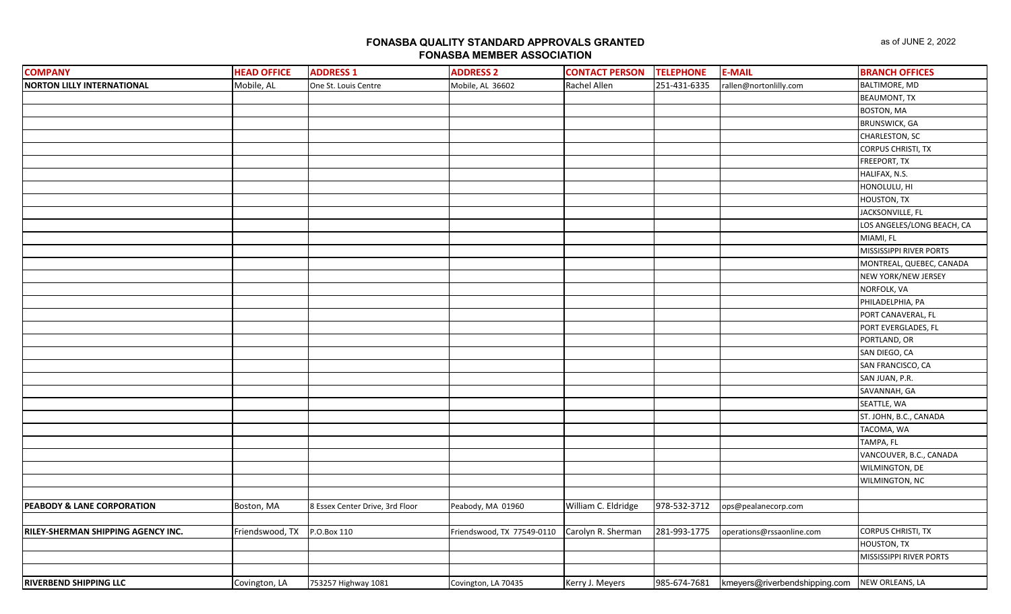| <b>COMPANY</b>                        | <b>HEAD OFFICE</b> | <b>ADDRESS 1</b>                | <b>ADDRESS 2</b>           | <b>CONTACT PERSON</b> | <b>TELEPHONE</b> | <b>E-MAIL</b>                 | <b>BRANCH OFFICES</b>      |
|---------------------------------------|--------------------|---------------------------------|----------------------------|-----------------------|------------------|-------------------------------|----------------------------|
| <b>NORTON LILLY INTERNATIONAL</b>     | Mobile, AL         | One St. Louis Centre            | Mobile, AL 36602           | Rachel Allen          | 251-431-6335     | rallen@nortonlilly.com        | <b>BALTIMORE, MD</b>       |
|                                       |                    |                                 |                            |                       |                  |                               | <b>BEAUMONT, TX</b>        |
|                                       |                    |                                 |                            |                       |                  |                               | <b>BOSTON, MA</b>          |
|                                       |                    |                                 |                            |                       |                  |                               | <b>BRUNSWICK, GA</b>       |
|                                       |                    |                                 |                            |                       |                  |                               | <b>CHARLESTON, SC</b>      |
|                                       |                    |                                 |                            |                       |                  |                               | <b>CORPUS CHRISTI, TX</b>  |
|                                       |                    |                                 |                            |                       |                  |                               | FREEPORT, TX               |
|                                       |                    |                                 |                            |                       |                  |                               | HALIFAX, N.S.              |
|                                       |                    |                                 |                            |                       |                  |                               | HONOLULU, HI               |
|                                       |                    |                                 |                            |                       |                  |                               | HOUSTON, TX                |
|                                       |                    |                                 |                            |                       |                  |                               | JACKSONVILLE, FL           |
|                                       |                    |                                 |                            |                       |                  |                               | LOS ANGELES/LONG BEACH, CA |
|                                       |                    |                                 |                            |                       |                  |                               | MIAMI, FL                  |
|                                       |                    |                                 |                            |                       |                  |                               | MISSISSIPPI RIVER PORTS    |
|                                       |                    |                                 |                            |                       |                  |                               | MONTREAL, QUEBEC, CANADA   |
|                                       |                    |                                 |                            |                       |                  |                               | NEW YORK/NEW JERSEY        |
|                                       |                    |                                 |                            |                       |                  |                               | NORFOLK, VA                |
|                                       |                    |                                 |                            |                       |                  |                               | PHILADELPHIA, PA           |
|                                       |                    |                                 |                            |                       |                  |                               | PORT CANAVERAL, FL         |
|                                       |                    |                                 |                            |                       |                  |                               | PORT EVERGLADES, FL        |
|                                       |                    |                                 |                            |                       |                  |                               | PORTLAND, OR               |
|                                       |                    |                                 |                            |                       |                  |                               | SAN DIEGO, CA              |
|                                       |                    |                                 |                            |                       |                  |                               | SAN FRANCISCO, CA          |
|                                       |                    |                                 |                            |                       |                  |                               | SAN JUAN, P.R.             |
|                                       |                    |                                 |                            |                       |                  |                               | SAVANNAH, GA               |
|                                       |                    |                                 |                            |                       |                  |                               | SEATTLE, WA                |
|                                       |                    |                                 |                            |                       |                  |                               | ST. JOHN, B.C., CANADA     |
|                                       |                    |                                 |                            |                       |                  |                               | TACOMA, WA                 |
|                                       |                    |                                 |                            |                       |                  |                               | TAMPA, FL                  |
|                                       |                    |                                 |                            |                       |                  |                               | VANCOUVER, B.C., CANADA    |
|                                       |                    |                                 |                            |                       |                  |                               | WILMINGTON, DE             |
|                                       |                    |                                 |                            |                       |                  |                               | WILMINGTON, NC             |
|                                       |                    |                                 |                            |                       |                  |                               |                            |
| <b>PEABODY &amp; LANE CORPORATION</b> | Boston, MA         | 8 Essex Center Drive, 3rd Floor | Peabody, MA 01960          | William C. Eldridge   | 978-532-3712     | ops@pealanecorp.com           |                            |
|                                       |                    |                                 |                            |                       |                  |                               |                            |
| RILEY-SHERMAN SHIPPING AGENCY INC.    | Friendswood, TX    | P.O.Box 110                     | Friendswood, TX 77549-0110 | Carolyn R. Sherman    | 281-993-1775     | operations@rssaonline.com     | <b>CORPUS CHRISTI, TX</b>  |
|                                       |                    |                                 |                            |                       |                  |                               | HOUSTON, TX                |
|                                       |                    |                                 |                            |                       |                  |                               | MISSISSIPPI RIVER PORTS    |
|                                       |                    |                                 |                            |                       |                  |                               |                            |
| <b>RIVERBEND SHIPPING LLC</b>         | Covington, LA      | 753257 Highway 1081             | Covington, LA 70435        | Kerry J. Meyers       | 985-674-7681     | kmeyers@riverbendshipping.com | NEW ORLEANS, LA            |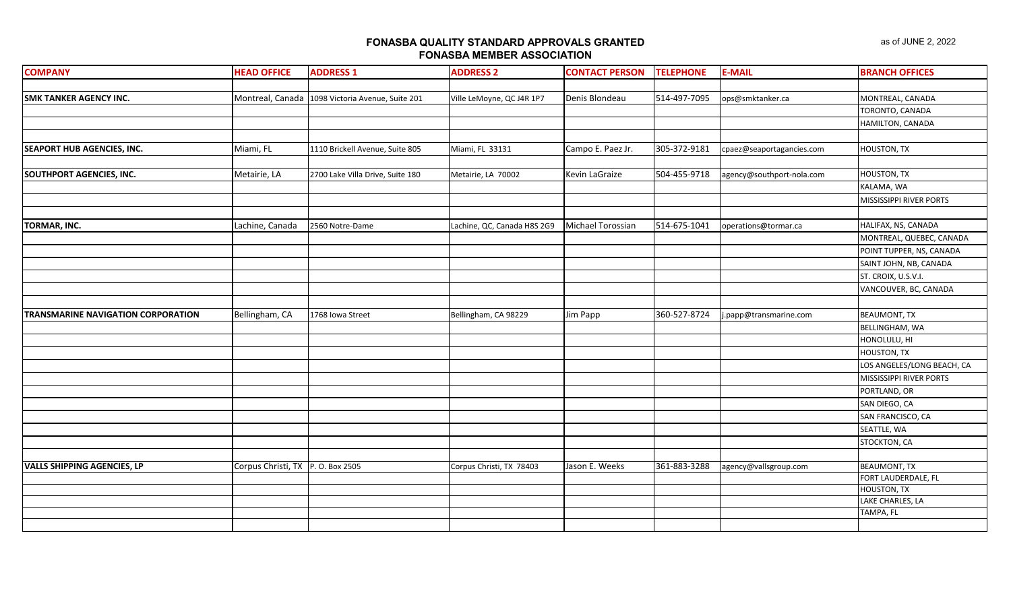| <b>COMPANY</b>                            | <b>HEAD OFFICE</b>               | <b>ADDRESS 1</b>                                 | <b>ADDRESS 2</b>            | <b>CONTACT PERSON</b> | <b>TELEPHONE</b> | <b>E-MAIL</b>             | <b>BRANCH OFFICES</b>      |
|-------------------------------------------|----------------------------------|--------------------------------------------------|-----------------------------|-----------------------|------------------|---------------------------|----------------------------|
|                                           |                                  |                                                  |                             |                       |                  |                           |                            |
| <b>SMK TANKER AGENCY INC.</b>             |                                  | Montreal, Canada 1098 Victoria Avenue, Suite 201 | Ville LeMoyne, QC J4R 1P7   | Denis Blondeau        | 514-497-7095     | ops@smktanker.ca          | MONTREAL, CANADA           |
|                                           |                                  |                                                  |                             |                       |                  |                           | TORONTO, CANADA            |
|                                           |                                  |                                                  |                             |                       |                  |                           | HAMILTON, CANADA           |
|                                           |                                  |                                                  |                             |                       |                  |                           |                            |
| <b>SEAPORT HUB AGENCIES, INC.</b>         | Miami, FL                        | 1110 Brickell Avenue, Suite 805                  | Miami, FL 33131             | Campo E. Paez Jr.     | 305-372-9181     | cpaez@seaportagancies.com | <b>HOUSTON, TX</b>         |
|                                           |                                  |                                                  |                             |                       |                  |                           |                            |
| SOUTHPORT AGENCIES, INC.                  | Metairie, LA                     | 2700 Lake Villa Drive, Suite 180                 | Metairie, LA 70002          | Kevin LaGraize        | 504-455-9718     | agency@southport-nola.com | <b>HOUSTON, TX</b>         |
|                                           |                                  |                                                  |                             |                       |                  |                           | KALAMA, WA                 |
|                                           |                                  |                                                  |                             |                       |                  |                           | MISSISSIPPI RIVER PORTS    |
|                                           |                                  |                                                  |                             |                       |                  |                           |                            |
| <b>TORMAR, INC.</b>                       | Lachine, Canada                  | 2560 Notre-Dame                                  | Lachine, QC, Canada H8S 2G9 | Michael Torossian     | 514-675-1041     | operations@tormar.ca      | HALIFAX, NS, CANADA        |
|                                           |                                  |                                                  |                             |                       |                  |                           | MONTREAL, QUEBEC, CANADA   |
|                                           |                                  |                                                  |                             |                       |                  |                           | POINT TUPPER, NS, CANADA   |
|                                           |                                  |                                                  |                             |                       |                  |                           | SAINT JOHN, NB, CANADA     |
|                                           |                                  |                                                  |                             |                       |                  |                           | ST. CROIX, U.S.V.I.        |
|                                           |                                  |                                                  |                             |                       |                  |                           | VANCOUVER, BC, CANADA      |
|                                           |                                  |                                                  |                             |                       |                  |                           |                            |
| <b>TRANSMARINE NAVIGATION CORPORATION</b> | Bellingham, CA                   | 1768 Iowa Street                                 | Bellingham, CA 98229        | Jim Papp              | 360-527-8724     | j.papp@transmarine.com    | <b>BEAUMONT, TX</b>        |
|                                           |                                  |                                                  |                             |                       |                  |                           | <b>BELLINGHAM, WA</b>      |
|                                           |                                  |                                                  |                             |                       |                  |                           | HONOLULU, HI               |
|                                           |                                  |                                                  |                             |                       |                  |                           | <b>HOUSTON, TX</b>         |
|                                           |                                  |                                                  |                             |                       |                  |                           | LOS ANGELES/LONG BEACH, CA |
|                                           |                                  |                                                  |                             |                       |                  |                           | MISSISSIPPI RIVER PORTS    |
|                                           |                                  |                                                  |                             |                       |                  |                           | PORTLAND, OR               |
|                                           |                                  |                                                  |                             |                       |                  |                           | SAN DIEGO, CA              |
|                                           |                                  |                                                  |                             |                       |                  |                           | SAN FRANCISCO, CA          |
|                                           |                                  |                                                  |                             |                       |                  |                           | SEATTLE, WA                |
|                                           |                                  |                                                  |                             |                       |                  |                           | STOCKTON, CA               |
|                                           |                                  |                                                  |                             |                       |                  |                           |                            |
| <b>VALLS SHIPPING AGENCIES, LP</b>        | Corpus Christi, TX P.O. Box 2505 |                                                  | Corpus Christi, TX 78403    | Jason E. Weeks        | 361-883-3288     | agency@vallsgroup.com     | <b>BEAUMONT, TX</b>        |
|                                           |                                  |                                                  |                             |                       |                  |                           | FORT LAUDERDALE, FL        |
|                                           |                                  |                                                  |                             |                       |                  |                           | <b>HOUSTON, TX</b>         |
|                                           |                                  |                                                  |                             |                       |                  |                           | LAKE CHARLES, LA           |
|                                           |                                  |                                                  |                             |                       |                  |                           | TAMPA, FL                  |
|                                           |                                  |                                                  |                             |                       |                  |                           |                            |